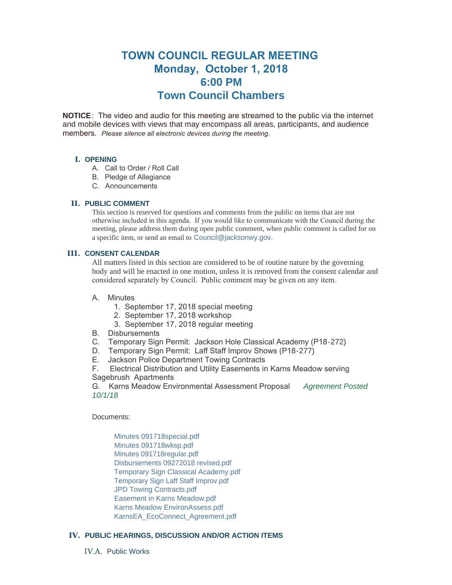# **TOWN COUNCIL REGULAR MEETING Monday, October 1, 2018 6:00 PM Town Council Chambers**

**NOTICE**: The video and audio for this meeting are streamed to the public via the internet and mobile devices with views that may encompass all areas, participants, and audience members. *Please silence all electronic devices during the meeting.* 

# **I. OPENING**

- A. Call to Order / Roll Call
- B. Pledge of Allegiance
- C. Announcements

## **PUBLIC COMMENT II.**

This section is reserved for questions and comments from the public on items that are not otherwise included in this agenda. If you would like to communicate with the Council during the meeting, please address them during open public comment, when public comment is called for on a specific item, or send an email to [Council@jacksonwy.gov](mailto:).

#### **CONSENT CALENDAR III.**

All matters listed in this section are considered to be of routine nature by the governing body and will be enacted in one motion, unless it is removed from the consent calendar and considered separately by Council. Public comment may be given on any item.

#### A. Minutes

- 1. September 17, 2018 special meeting
- 2. September 17, 2018 workshop
- 3. September 17, 2018 regular meeting
- B. Disbursements
- C. Temporary Sign Permit: Jackson Hole Classical Academy (P18-272)
- D. Temporary Sign Permit: Laff Staff Improv Shows (P18-277)
- E. Jackson Police Department Towing Contracts

F. Electrical Distribution and Utility Easements in Karns Meadow serving Sagebrush Apartments

G. Karns Meadow Environmental Assessment Proposal *Agreement Posted 10/1/18*

Documents:

[Minutes 091718special.pdf](https://www.jacksonwy.gov/AgendaCenter/ViewFile/Item/1569?fileID=4241) [Minutes 091718wksp.pdf](https://www.jacksonwy.gov/AgendaCenter/ViewFile/Item/1569?fileID=4242) [Minutes 091718regular.pdf](https://www.jacksonwy.gov/AgendaCenter/ViewFile/Item/1569?fileID=4240) [Disbursements 09272018 revised.pdf](https://www.jacksonwy.gov/AgendaCenter/ViewFile/Item/1569?fileID=4263) [Temporary Sign Classical Academy.pdf](https://www.jacksonwy.gov/AgendaCenter/ViewFile/Item/1569?fileID=4243) [Temporary Sign Laff Staff Improv.pdf](https://www.jacksonwy.gov/AgendaCenter/ViewFile/Item/1569?fileID=4244) [JPD Towing Contracts.pdf](https://www.jacksonwy.gov/AgendaCenter/ViewFile/Item/1569?fileID=4247) [Easement in Karns Meadow.pdf](https://www.jacksonwy.gov/AgendaCenter/ViewFile/Item/1569?fileID=4246) [Karns Meadow EnvironAssess.pdf](https://www.jacksonwy.gov/AgendaCenter/ViewFile/Item/1569?fileID=4239) [KarnsEA\\_EcoConnect\\_Agreement.pdf](https://www.jacksonwy.gov/AgendaCenter/ViewFile/Item/1569?fileID=4271)

# **PUBLIC HEARINGS, DISCUSSION AND/OR ACTION ITEMS IV.**

IV.A. Public Works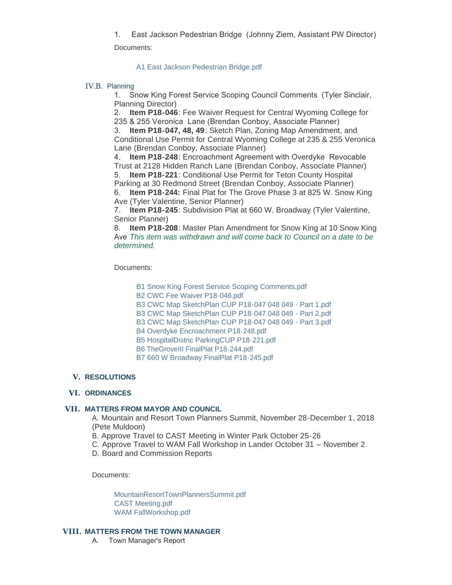1. East Jackson Pedestrian Bridge (Johnny Ziem, Assistant PW Director)

Documents:

[A1 East Jackson Pedestrian Bridge.pdf](https://www.jacksonwy.gov/AgendaCenter/ViewFile/Item/1570?fileID=4248)

# IV.B. Planning

1. Snow King Forest Service Scoping Council Comments (Tyler Sinclair, Planning Director)

2. **Item P18-046**: Fee Waiver Request for Central Wyoming College for 235 & 255 Veronica Lane (Brendan Conboy, Associate Planner)

3. **Item P18-047, 48, 49**: Sketch Plan, Zoning Map Amendment, and Conditional Use Permit for Central Wyoming College at 235 & 255 Veronica Lane (Brendan Conboy, Associate Planner)

4. **Item P18-248**: Encroachment Agreement with Overdyke Revocable Trust at 2128 Hidden Ranch Lane (Brendan Conboy, Associate Planner)

5. **Item P18-221**: Conditional Use Permit for Teton County Hospital Parking at 30 Redmond Street (Brendan Conboy, Associate Planner)

6. **Item P18-244:** Final Plat for The Grove Phase 3 at 825 W. Snow King Ave (Tyler Valentine, Senior Planner)

7. **Item P18-245**: Subdivision Plat at 660 W. Broadway (Tyler Valentine, Senior Planner)

8. **Item P18-208**: Master Plan Amendment for Snow King at 10 Snow King Ave *This item was withdrawn and will come back to Council on a date to be determined.*

Documents:

[B1 Snow King Forest Service Scoping Comments.pdf](https://www.jacksonwy.gov/AgendaCenter/ViewFile/Item/1571?fileID=4255)

[B2 CWC Fee Waiver P18-046.pdf](https://www.jacksonwy.gov/AgendaCenter/ViewFile/Item/1571?fileID=4256)

[B3 CWC Map SketchPlan CUP P18-047 048 049 - Part 1.pdf](https://www.jacksonwy.gov/AgendaCenter/ViewFile/Item/1571?fileID=4257)

[B3 CWC Map SketchPlan CUP P18-047 048 049 - Part 2.pdf](https://www.jacksonwy.gov/AgendaCenter/ViewFile/Item/1571?fileID=4249)

[B3 CWC Map SketchPlan CUP P18-047 048 049 - Part 3.pdf](https://www.jacksonwy.gov/AgendaCenter/ViewFile/Item/1571?fileID=4250)

[B4 Overdyke Encroachment P18-248.pdf](https://www.jacksonwy.gov/AgendaCenter/ViewFile/Item/1571?fileID=4251)

[B5 HospitalDistric ParkingCUP P18-221.pdf](https://www.jacksonwy.gov/AgendaCenter/ViewFile/Item/1571?fileID=4252)

[B6 TheGroveIII FinalPlat P18-244.pdf](https://www.jacksonwy.gov/AgendaCenter/ViewFile/Item/1571?fileID=4253)

[B7 660 W Broadway FinalPlat P18-245.pdf](https://www.jacksonwy.gov/AgendaCenter/ViewFile/Item/1571?fileID=4254)

# **RESOLUTIONS V.**

# **ORDINANCES VI.**

# **MATTERS FROM MAYOR AND COUNCIL VII.**

A. Mountain and Resort Town Planners Summit, November 28-December 1, 2018 (Pete Muldoon)

B. Approve Travel to CAST Meeting in Winter Park October 25-26

C. Approve Travel to WAM Fall Workshop in Lander October 31 – November 2

D. Board and Commission Reports

Documents:

[MountainResortTownPlannersSummit.pdf](https://www.jacksonwy.gov/AgendaCenter/ViewFile/Item/1572?fileID=4258) [CAST Meeting.pdf](https://www.jacksonwy.gov/AgendaCenter/ViewFile/Item/1572?fileID=4260) [WAM FallWorkshop.pdf](https://www.jacksonwy.gov/AgendaCenter/ViewFile/Item/1572?fileID=4259)

# **MATTERS FROM THE TOWN MANAGER VIII.**

A. Town Manager's Report